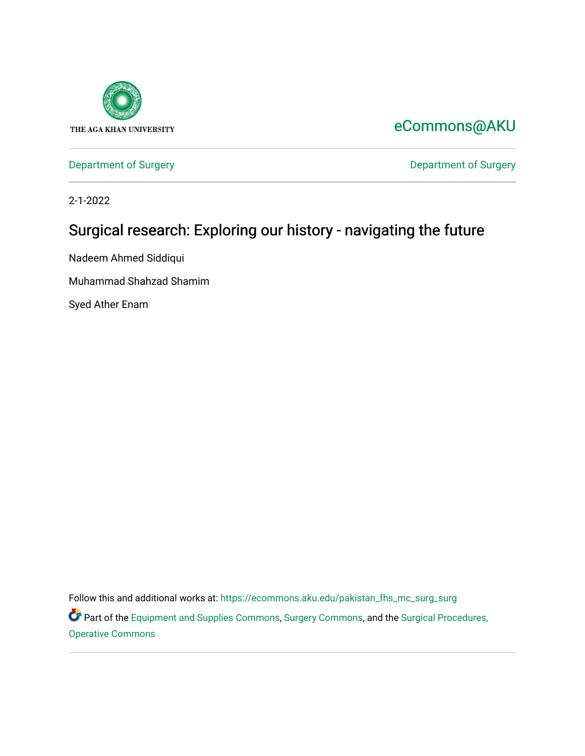

## [eCommons@AKU](https://ecommons.aku.edu/)

[Department of Surgery](https://ecommons.aku.edu/pakistan_fhs_mc_surg) **Department of Surgery** 

2-1-2022

# Surgical research: Exploring our history - navigating the future

Nadeem Ahmed Siddiqui

Muhammad Shahzad Shamim

Syed Ather Enam

Follow this and additional works at: [https://ecommons.aku.edu/pakistan\\_fhs\\_mc\\_surg\\_surg](https://ecommons.aku.edu/pakistan_fhs_mc_surg_surg?utm_source=ecommons.aku.edu%2Fpakistan_fhs_mc_surg_surg%2F890&utm_medium=PDF&utm_campaign=PDFCoverPages) 

Part of the [Equipment and Supplies Commons](http://network.bepress.com/hgg/discipline/944?utm_source=ecommons.aku.edu%2Fpakistan_fhs_mc_surg_surg%2F890&utm_medium=PDF&utm_campaign=PDFCoverPages), [Surgery Commons,](http://network.bepress.com/hgg/discipline/706?utm_source=ecommons.aku.edu%2Fpakistan_fhs_mc_surg_surg%2F890&utm_medium=PDF&utm_campaign=PDFCoverPages) and the Surgical Procedures, [Operative Commons](http://network.bepress.com/hgg/discipline/974?utm_source=ecommons.aku.edu%2Fpakistan_fhs_mc_surg_surg%2F890&utm_medium=PDF&utm_campaign=PDFCoverPages)